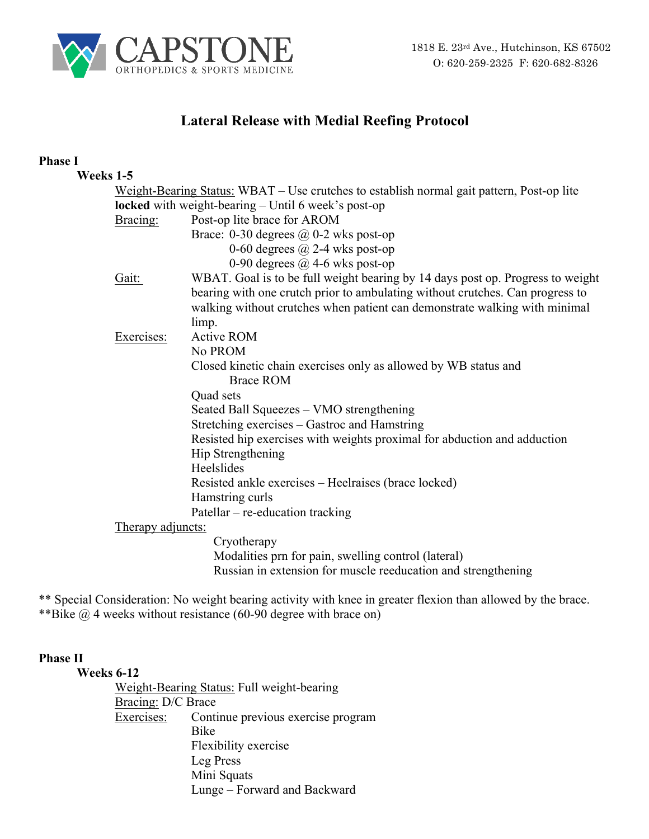

# **Lateral Release with Medial Reefing Protocol**

## **Phase I**

| Weeks 1-5         |                                                                                           |
|-------------------|-------------------------------------------------------------------------------------------|
|                   | Weight-Bearing Status: WBAT – Use crutches to establish normal gait pattern, Post-op lite |
|                   | locked with weight-bearing - Until 6 week's post-op                                       |
| Bracing:          | Post-op lite brace for AROM                                                               |
|                   | Brace: 0-30 degrees $\omega$ 0-2 wks post-op                                              |
|                   | 0-60 degrees $\omega$ 2-4 wks post-op                                                     |
|                   | 0-90 degrees $\omega$ 4-6 wks post-op                                                     |
| Gait:             | WBAT. Goal is to be full weight bearing by 14 days post op. Progress to weight            |
|                   | bearing with one crutch prior to ambulating without crutches. Can progress to             |
|                   | walking without crutches when patient can demonstrate walking with minimal                |
|                   | limp.                                                                                     |
| Exercises:        | <b>Active ROM</b>                                                                         |
|                   | No PROM                                                                                   |
|                   | Closed kinetic chain exercises only as allowed by WB status and                           |
|                   | <b>Brace ROM</b>                                                                          |
|                   | Quad sets                                                                                 |
|                   | Seated Ball Squeezes - VMO strengthening                                                  |
|                   | Stretching exercises – Gastroc and Hamstring                                              |
|                   | Resisted hip exercises with weights proximal for abduction and adduction                  |
|                   | Hip Strengthening                                                                         |
|                   | Heelslides                                                                                |
|                   | Resisted ankle exercises – Heelraises (brace locked)                                      |
|                   | Hamstring curls                                                                           |
|                   | Patellar – re-education tracking                                                          |
| Therapy adjuncts: |                                                                                           |
|                   | Cryotherapy                                                                               |
|                   | Modalities prn for pain, swelling control (lateral)                                       |
|                   | Russian in extension for muscle reeducation and strengthening                             |

\*\* Special Consideration: No weight bearing activity with knee in greater flexion than allowed by the brace. \*\*Bike @ 4 weeks without resistance (60-90 degree with brace on)

## **Phase II**

**Weeks 6-12** Weight-Bearing Status: Full weight-bearing Bracing: D/C Brace Exercises: Continue previous exercise program Bike Flexibility exercise Leg Press Mini Squats Lunge – Forward and Backward